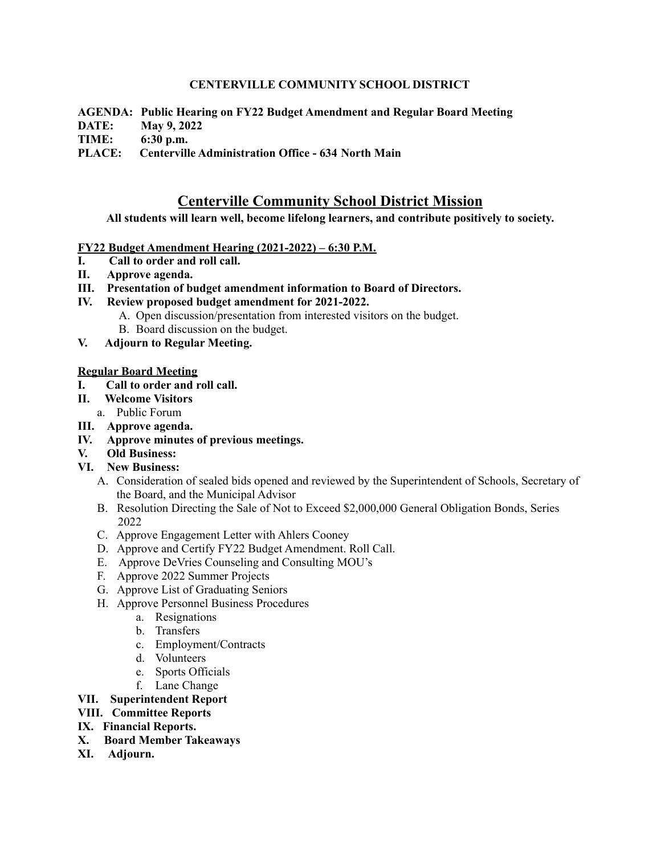## **CENTERVILLE COMMUNITY SCHOOL DISTRICT**

**AGENDA: Public Hearing on FY22 Budget Amendment and Regular Board Meeting**

**DATE: May 9, 2022**

**TIME: 6:30 p.m.**

**PLACE: Centerville Administration Office - 634 North Main**

# **Centerville Community School District Mission**

**All students will learn well, become lifelong learners, and contribute positively to society.**

## **FY22 Budget Amendment Hearing (2021-2022) – 6:30 P.M.**

- **I. Call to order and roll call.**
- **II. Approve agenda.**
- **III. Presentation of budget amendment information to Board of Directors.**
- **IV. Review proposed budget amendment for 2021-2022.**
	- A. Open discussion/presentation from interested visitors on the budget.
		- B. Board discussion on the budget.
- **V. Adjourn to Regular Meeting.**

#### **Regular Board Meeting**

- **I. Call to order and roll call.**
- **II. Welcome Visitors**
	- a. Public Forum
- **III. Approve agenda.**
- **IV. Approve minutes of previous meetings.**
- **V. Old Business:**
- **VI. New Business:**
	- A. Consideration of sealed bids opened and reviewed by the Superintendent of Schools, Secretary of the Board, and the Municipal Advisor
	- B. Resolution Directing the Sale of Not to Exceed \$2,000,000 General Obligation Bonds, Series 2022
	- C. Approve Engagement Letter with Ahlers Cooney
	- D. Approve and Certify FY22 Budget Amendment. Roll Call.
	- E. Approve DeVries Counseling and Consulting MOU's
	- F. Approve 2022 Summer Projects
	- G. Approve List of Graduating Seniors
	- H. Approve Personnel Business Procedures
		- a. Resignations
		- b. Transfers
		- c. Employment/Contracts
		- d. Volunteers
		- e. Sports Officials
		- f. Lane Change

# **VII. Superintendent Report**

**VIII. Committee Reports**

# **IX. Financial Reports.**

- **X. Board Member Takeaways**
- **XI. Adjourn.**